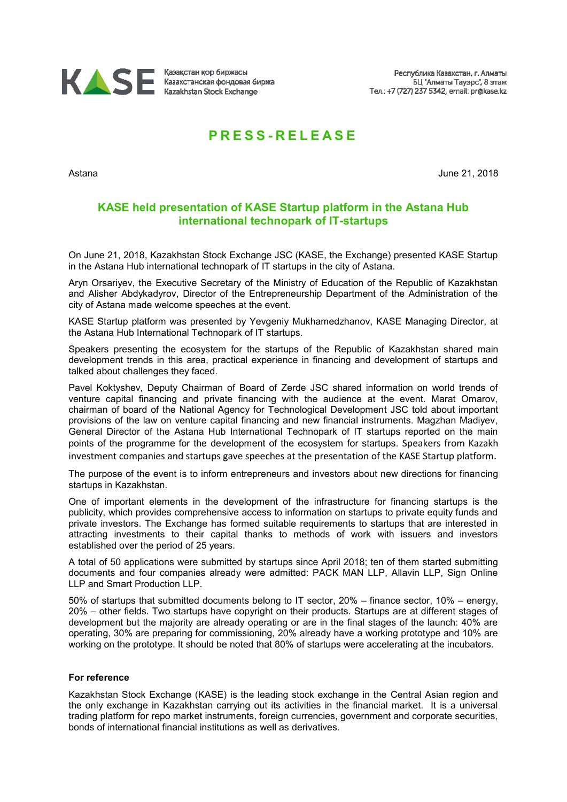

## **P R E S S - R E L E A S E**

Astana June 21, 2018

## **KASE held presentation of KASE Startup platform in the Astana Hub international technopark of IT-startups**

On June 21, 2018, Kazakhstan Stock Exchange JSC (KASE, the Exchange) presented KASE Startup in the Astana Hub international technopark of IT startups in the city of Astana.

Aryn Orsariyev, the Executive Secretary of the Ministry of Education of the Republic of Kazakhstan and Alisher Abdykadyrov, Director of the Entrepreneurship Department of the Administration of the city of Astana made welcome speeches at the event.

KASE Startup platform was presented by Yevgeniy Mukhamedzhanov, KASE Managing Director, at the Astana Hub International Technopark of IT startups.

Speakers presenting the ecosystem for the startups of the Republic of Kazakhstan shared main development trends in this area, practical experience in financing and development of startups and talked about challenges they faced.

Pavel Koktyshev, Deputy Chairman of Board of Zerde JSC shared information on world trends of venture capital financing and private financing with the audience at the event. Marat Omarov, chairman of board of the National Agency for Technological Development JSC told about important provisions of the law on venture capital financing and new financial instruments. Magzhan Madiyev, General Director of the Astana Hub International Technopark of IT startups reported on the main points of the programme for the development of the ecosystem for startups. Speakers from Kazakh investment companies and startups gave speeches at the presentation of the KASE Startup platform.

The purpose of the event is to inform entrepreneurs and investors about new directions for financing startups in Kazakhstan.

One of important elements in the development of the infrastructure for financing startups is the publicity, which provides comprehensive access to information on startups to private equity funds and private investors. The Exchange has formed suitable requirements to startups that are interested in attracting investments to their capital thanks to methods of work with issuers and investors established over the period of 25 years.

A total of 50 applications were submitted by startups since April 2018; ten of them started submitting documents and four companies already were admitted: PACK MAN LLP, Allavin LLP, Sign Online LLP and Smart Production LLP.

50% of startups that submitted documents belong to IT sector, 20% – finance sector, 10% – energy, 20% – other fields. Two startups have copyright on their products. Startups are at different stages of development but the majority are already operating or are in the final stages of the launch: 40% are operating, 30% are preparing for commissioning, 20% already have a working prototype and 10% are working on the prototype. It should be noted that 80% of startups were accelerating at the incubators.

## **For reference**

Kazakhstan Stock Exchange (KASE) is the leading stock exchange in the Central Asian region and the only exchange in Kazakhstan carrying out its activities in the financial market. It is a universal trading platform for repo market instruments, foreign currencies, government and corporate securities, bonds of international financial institutions as well as derivatives.